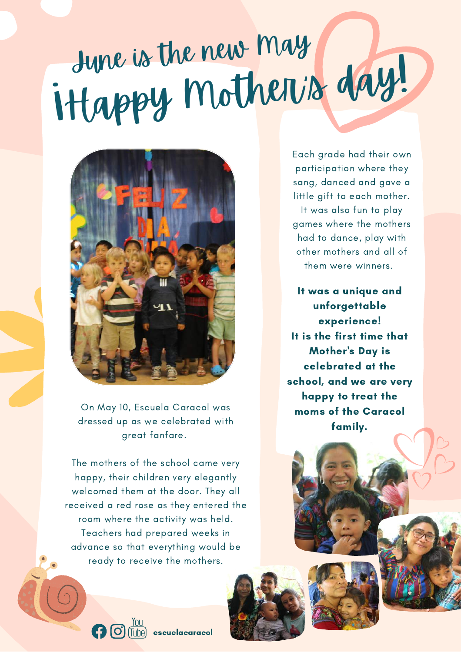# ¡Happy Mother's day! June is the new May



On May 10, Escuela Caracol was dressed up as we celebrated with great fanfare.

The mothers of the school came very happy, their children very elegantly welcomed them at the door. They all received a red rose as they entered the room where the activity was held. Teachers had prepared weeks in advance so that everything would be ready to receive the mothers.

Each grade had their own participation where they sang, danced and gave a little gift to each mother. It was also fun to play games where the mothers had to dance, play with other mothers and all of them were winners.

It was a unique and unforgettable experience! It is the first time that Mother's Day is celebrated at the school, and we are very happy to treat the moms of the Caracol family.



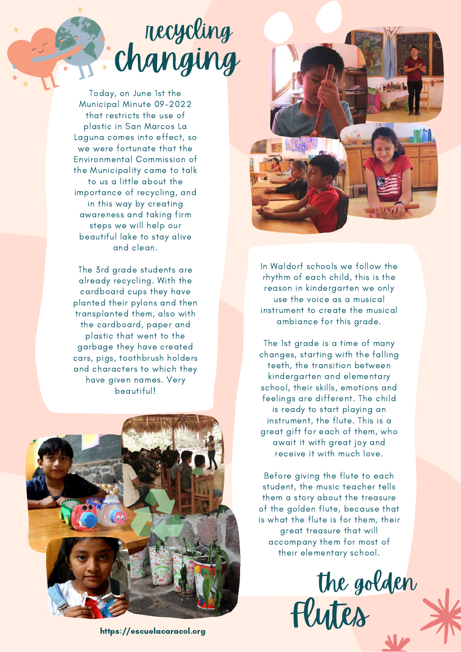# recycling changing

Today, on June 1st the Municipal Minute 09-2022 that restricts the use of plastic in San Marcos La Laguna comes into effect, so we were fortunate that the Environmental Commission of the Municipality came to talk to us a little about the importance of recycling, and in this way by creating awareness and taking firm steps we will help our beautiful lake to stay alive and clean.

The 3rd grade students are already recycling. With the cardboard cups they have planted their pylons and then transplanted them, also with the cardboard, paper and plastic that went to the garbage they have created cars, pigs, toothbrush holders and characters to which they have given names. Very beautiful!



In Waldorf schools we follow the rhythm of each child, this is the reason in kindergarten we only use the voice as a musical instrument to create the musical ambiance for this grade.

The 1st grade is a time of many changes, starting with the falling teeth, the transition between kindergarten and elementary school, their skills, emotions and feelings are different. The child is ready to start playing an instrument, the flute. This is a great gift for each of them, who await it with great joy and receive it with much love.

Before giving the flute to each student, the music teacher tells them a story about the treasure of the golden flute, because that is what the flute is for them, their great treasure that will accompany them for most of their elementary school.



https://escuelacaracol.org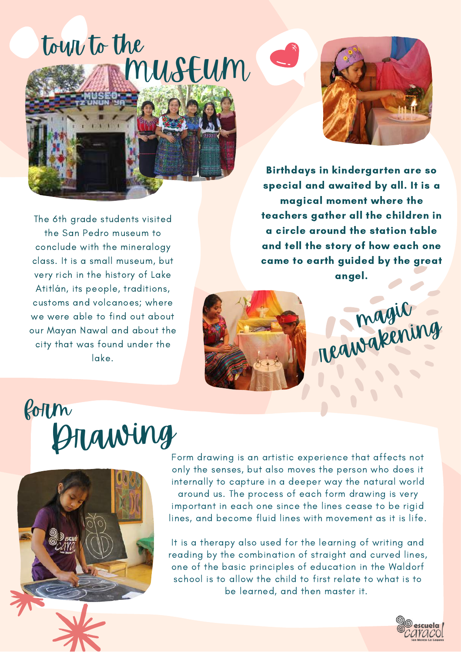### tour to the MUSEUM



The 6th grade students visited the San Pedro museum to conclude with the mineralogy class. It is a small museum, but very rich in the history of Lake Atitlán, its people, traditions, customs and volcanoes; where we were able to find out about our Mayan Nawal and about the city that was found under the lake.

Birthdays in kindergarten are so special and awaited by all. It is a magical moment where the teachers gather all the children in a circle around the station table and tell the story of how each one came to earth guided by the great angel.





## form Drawing



Form drawing is an artistic experience that affects not only the senses, but also moves the person who does it internally to capture in a deeper way the natural world around us. The process of each form drawing is very important in each one since the lines cease to be rigid lines, and become fluid lines with movement as it is life.

It is a therapy also used for the learning of writing and reading by the combination of straight and curved lines, one of the basic principles of education in the Waldorf school is to allow the child to first relate to what is to be learned, and then master it.

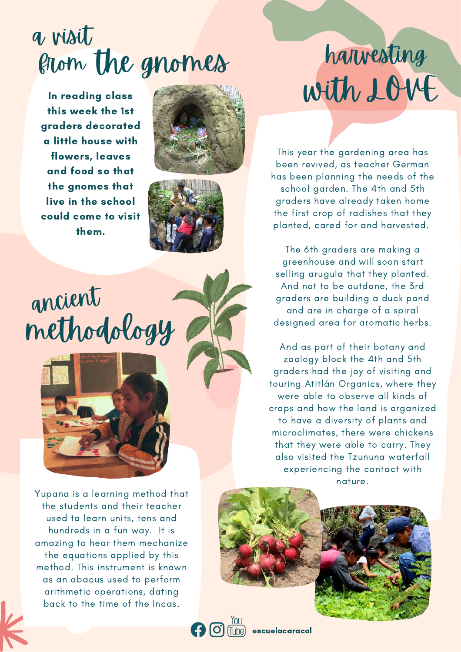#### a visit from the gnomes

In reading class this week the 1st graders decorated a little house with flowers, leaves and food so that the gnomes that live in the school could come to visit them.





# ancient methodology



Yupana is a learning method that the students and their teacher used to learn units, tens and hundreds in a fun way. It is amazing to hear them mechanize the equations applied by this method. This instrument is known as an abacus used to perform arithmetic operations, dating back to the time of the Incas.

# harvesting with LOVE

This year the gardening area has been revived, as teacher German has been planning the needs of the school garden. The 4th and 5th graders have already taken home the first crop of radishes that they planted, cared for and harvested.

The 6th graders are making a greenhouse and will soon start selling arugula that they planted. And not to be outdone, the 3rd graders are building a duck pond and are in charge of a spiral designed area for aromatic herbs.

And as part of their botany and zoology block the 4th and 5th graders had the joy of visiting and touring Atitlán Organics, where they were able to observe all kinds of crops and how the land is organized to have a diversity of plants and microclimates, there were chickens that they were able to carry. They also visited the Tzununa waterfall experiencing the contact with nature.



escuelacaracol

(Tube)